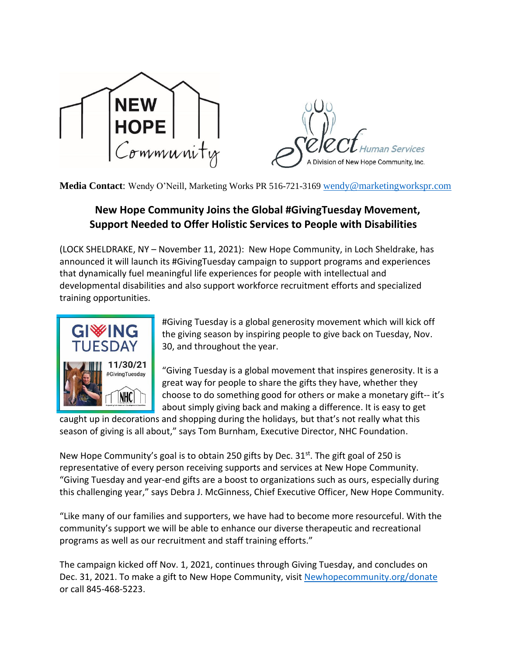

**Media Contact**: Wendy O'Neill, Marketing Works PR 516-721-3169 [wendy@marketingworkspr.com](mailto:wendy@marketingworkspr.com)

## **New Hope Community Joins the Global #GivingTuesday Movement, Support Needed to Offer Holistic Services to People with Disabilities**

(LOCK SHELDRAKE, NY – November 11, 2021): New Hope Community, in Loch Sheldrake, has announced it will launch its #GivingTuesday campaign to support programs and experiences that dynamically fuel meaningful life experiences for people with intellectual and developmental disabilities and also support workforce recruitment efforts and specialized training opportunities.



#Giving Tuesday is a global generosity movement which will kick off the giving season by inspiring people to give back on Tuesday, Nov. 30, and throughout the year.

"Giving Tuesday is a global movement that inspires generosity. It is a great way for people to share the gifts they have, whether they choose to do something good for others or make a monetary gift-- it's about simply giving back and making a difference. It is easy to get

caught up in decorations and shopping during the holidays, but that's not really what this season of giving is all about," says Tom Burnham, Executive Director, NHC Foundation.

New Hope Community's goal is to obtain 250 gifts by Dec. 31<sup>st</sup>. The gift goal of 250 is representative of every person receiving supports and services at New Hope Community. "Giving Tuesday and year-end gifts are a boost to organizations such as ours, especially during this challenging year," says Debra J. McGinness, Chief Executive Officer, New Hope Community.

"Like many of our families and supporters, we have had to become more resourceful. With the community's support we will be able to enhance our diverse therapeutic and recreational programs as well as our recruitment and staff training efforts."

The campaign kicked off Nov. 1, 2021, continues through Giving Tuesday, and concludes on Dec. 31, 2021. To make a gift to New Hope Community, visit [Newhopecommunity.org/donate](https://www.newhopecommunity.org/donate-2/) or call 845-468-5223.